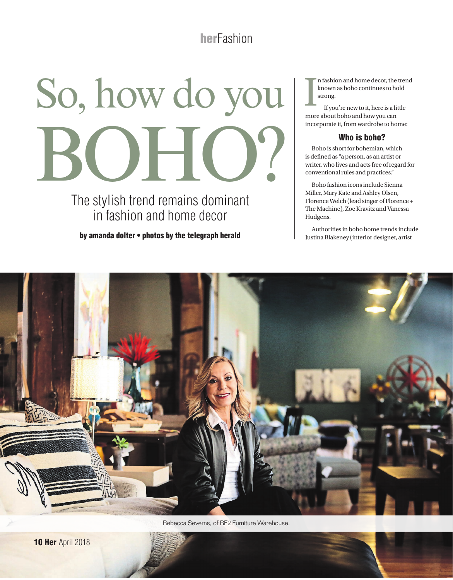# **herFashion**

# So, how do you  $\blacksquare$

The stylish trend remains dominant in fashion and home decor

by amanda dolter • photos by the telegraph herald

I n fashion and home decor, the trend known as boho continues to hold strong.

If you're new to it, here is a little more about boho and how you can incorporate it, from wardrobe to home:

## Who is boho?

Boho is short for bohemian, which is defined as "a person, as an artist or writer, who lives and acts free of regard for conventional rules and practices."

Boho fashion icons include Sienna Miller, Mary Kate and Ashley Olsen, Florence Welch (lead singer of Florence + The Machine), Zoe Kravitz and Vanessa Hudgens.

Authorities in boho home trends include Justina Blakeney (interior designer, artist



Rebecca Severns, of RF2 Furniture Warehouse.